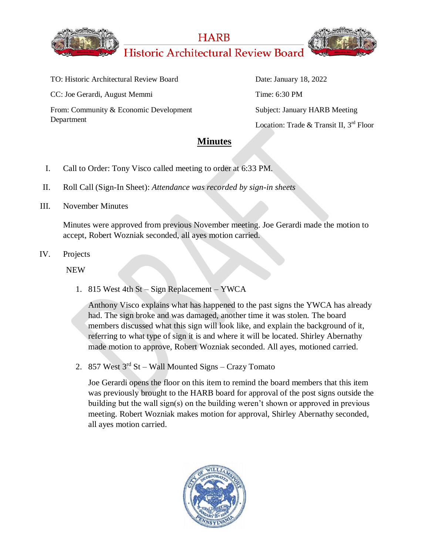

**HARB Historic Architectural Review Board** 



TO: Historic Architectural Review Board CC: Joe Gerardi, August Memmi From: Community & Economic Development Department

Date: January 18, 2022 Time: 6:30 PM Subject: January HARB Meeting Location: Trade & Transit II, 3<sup>rd</sup> Floor

## **Minutes**

- I. Call to Order: Tony Visco called meeting to order at 6:33 PM.
- II. Roll Call (Sign-In Sheet): *Attendance was recorded by sign-in sheets*
- III. November Minutes

Minutes were approved from previous November meeting. Joe Gerardi made the motion to accept, Robert Wozniak seconded, all ayes motion carried.

IV. Projects

NEW

1. 815 West 4th St – Sign Replacement – YWCA

Anthony Visco explains what has happened to the past signs the YWCA has already had. The sign broke and was damaged, another time it was stolen. The board members discussed what this sign will look like, and explain the background of it, referring to what type of sign it is and where it will be located. Shirley Abernathy made motion to approve, Robert Wozniak seconded. All ayes, motioned carried.

2. 857 West  $3<sup>rd</sup>$  St – Wall Mounted Signs – Crazy Tomato

Joe Gerardi opens the floor on this item to remind the board members that this item was previously brought to the HARB board for approval of the post signs outside the building but the wall sign(s) on the building weren't shown or approved in previous meeting. Robert Wozniak makes motion for approval, Shirley Abernathy seconded, all ayes motion carried.